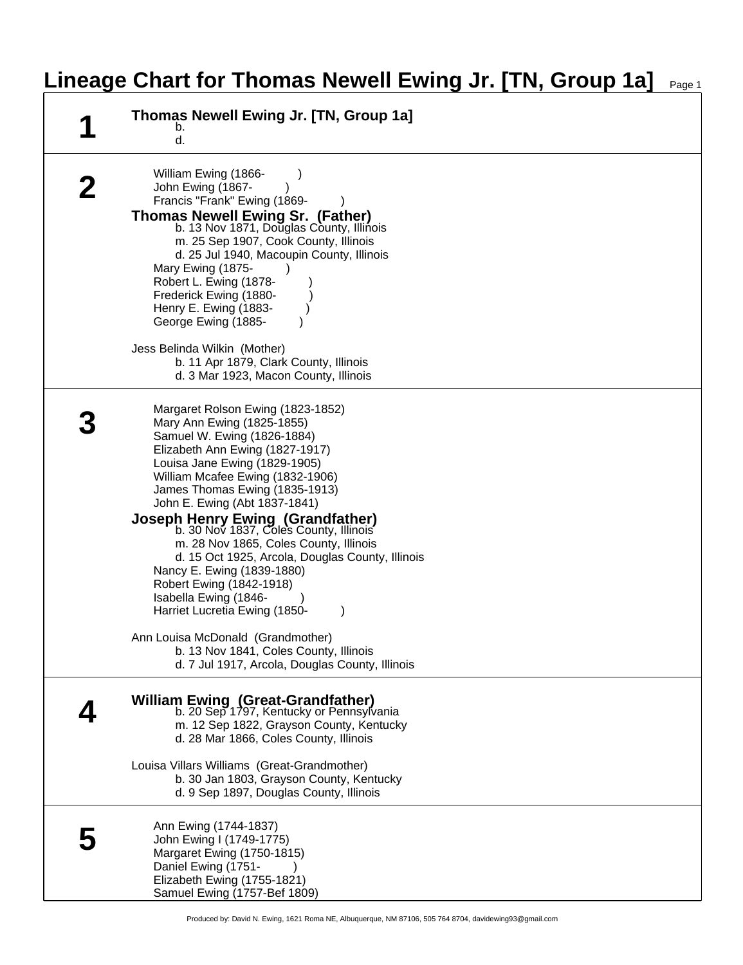## **Lineage Chart for Thomas Newell Ewing Jr. [TN, Group 1a]** Page 1

| Thomas Newell Ewing Jr. [TN, Group 1a]<br>b.<br>d.                                                                                                                                                                                                                                                                                                                                                                                                                                                                                                                                                                                                                                                                   |
|----------------------------------------------------------------------------------------------------------------------------------------------------------------------------------------------------------------------------------------------------------------------------------------------------------------------------------------------------------------------------------------------------------------------------------------------------------------------------------------------------------------------------------------------------------------------------------------------------------------------------------------------------------------------------------------------------------------------|
| William Ewing (1866-<br>John Ewing (1867-<br>Francis "Frank" Ewing (1869-<br><b>Thomas Newell Ewing Sr. (Father)</b><br>b. 13 Nov 1871, Douglas County, Illinois<br>m. 25 Sep 1907, Cook County, Illinois<br>d. 25 Jul 1940, Macoupin County, Illinois<br>Mary Ewing (1875-<br>Robert L. Ewing (1878-<br>Frederick Ewing (1880-<br>Henry E. Ewing (1883-<br>George Ewing (1885-<br>Jess Belinda Wilkin (Mother)<br>b. 11 Apr 1879, Clark County, Illinois                                                                                                                                                                                                                                                            |
| d. 3 Mar 1923, Macon County, Illinois                                                                                                                                                                                                                                                                                                                                                                                                                                                                                                                                                                                                                                                                                |
| Margaret Rolson Ewing (1823-1852)<br>Mary Ann Ewing (1825-1855)<br>Samuel W. Ewing (1826-1884)<br>Elizabeth Ann Ewing (1827-1917)<br>Louisa Jane Ewing (1829-1905)<br>William Mcafee Ewing (1832-1906)<br>James Thomas Ewing (1835-1913)<br>John E. Ewing (Abt 1837-1841)<br><b>Joseph Henry Ewing (Grandfather)</b><br>b. 30 Nov 1837, Cole's County, Illinois'<br>m. 28 Nov 1865, Coles County, Illinois<br>d. 15 Oct 1925, Arcola, Douglas County, Illinois<br>Nancy E. Ewing (1839-1880)<br>Robert Ewing (1842-1918)<br>Isabella Ewing (1846-<br>Harriet Lucretia Ewing (1850-<br>Ann Louisa McDonald (Grandmother)<br>b. 13 Nov 1841, Coles County, Illinois<br>d. 7 Jul 1917, Arcola, Douglas County, Illinois |
| <b>William Ewing (Great-Grandfather)</b><br>b. 20 Sep 1797, Kentucky or Pennsylvania<br>m. 12 Sep 1822, Grayson County, Kentucky<br>d. 28 Mar 1866, Coles County, Illinois<br>Louisa Villars Williams (Great-Grandmother)<br>b. 30 Jan 1803, Grayson County, Kentucky<br>d. 9 Sep 1897, Douglas County, Illinois                                                                                                                                                                                                                                                                                                                                                                                                     |
| Ann Ewing (1744-1837)<br>John Ewing I (1749-1775)<br>Margaret Ewing (1750-1815)<br>Daniel Ewing (1751-<br>Elizabeth Ewing (1755-1821)<br>Samuel Ewing (1757-Bef 1809)                                                                                                                                                                                                                                                                                                                                                                                                                                                                                                                                                |